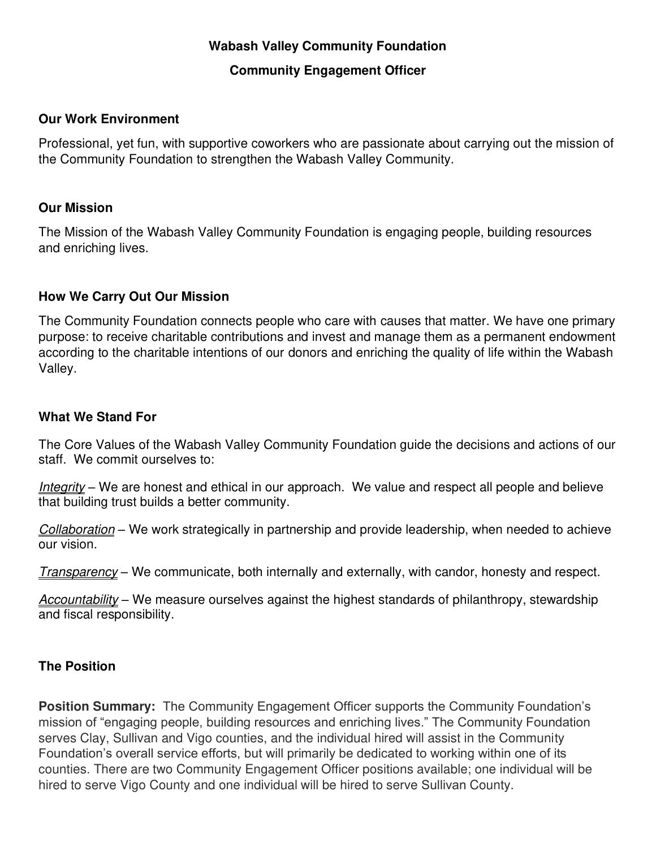# **Wabash Valley Community Foundation**

#### **Community Engagement Officer**

#### **Our Work Environment**

Professional, yet fun, with supportive coworkers who are passionate about carrying out the mission of the Community Foundation to strengthen the Wabash Valley Community.

#### **Our Mission**

The Mission of the Wabash Valley Community Foundation is engaging people, building resources and enriching lives.

#### **How We Carry Out Our Mission**

The Community Foundation connects people who care with causes that matter. We have one primary purpose: to receive charitable contributions and invest and manage them as a permanent endowment according to the charitable intentions of our donors and enriching the quality of life within the Wabash Valley.

#### **What We Stand For**

The Core Values of the Wabash Valley Community Foundation guide the decisions and actions of our staff. We commit ourselves to:

Integrity – We are honest and ethical in our approach. We value and respect all people and believe that building trust builds a better community.

Collaboration – We work strategically in partnership and provide leadership, when needed to achieve our vision.

Transparency – We communicate, both internally and externally, with candor, honesty and respect.

Accountability – We measure ourselves against the highest standards of philanthropy, stewardship and fiscal responsibility.

### **The Position**

**Position Summary:** The Community Engagement Officer supports the Community Foundation's mission of "engaging people, building resources and enriching lives." The Community Foundation serves Clay, Sullivan and Vigo counties, and the individual hired will assist in the Community Foundation's overall service efforts, but will primarily be dedicated to working within one of its counties. There are two Community Engagement Officer positions available; one individual will be hired to serve Vigo County and one individual will be hired to serve Sullivan County.